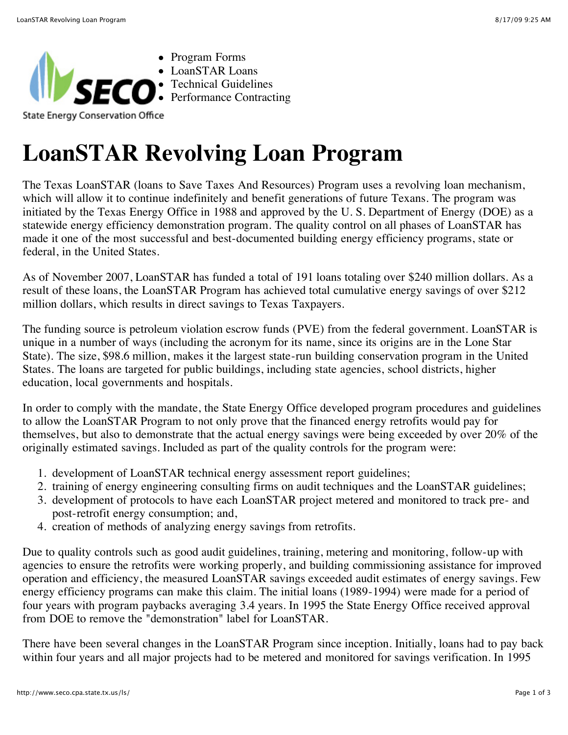



• [Program Forms](http://www.seco.cpa.state.tx.us/ls/ls_forms.php) [LoanSTAR Loans](http://www.seco.cpa.state.tx.us/ls/ls_loans3-07.xls) [Technical Guidelines](http://www.seco.cpa.state.tx.us/ls/ls_guideline.php) • [Performance Contracting](http://www.seco.cpa.state.tx.us/sa_pc.htm)

# **LoanSTAR Revolving Loan Program**

The Texas LoanSTAR (loans to Save Taxes And Resources) Program uses a revolving loan mechanism, which will allow it to continue indefinitely and benefit generations of future Texans. The program was initiated by the Texas Energy Office in 1988 and approved by the U. S. Department of Energy (DOE) as a statewide energy efficiency demonstration program. The quality control on all phases of LoanSTAR has made it one of the most successful and best-documented building energy efficiency programs, state or federal, in the United States.

As of November 2007, LoanSTAR has funded a total of 191 loans totaling over \$240 million dollars. As a result of these loans, the LoanSTAR Program has achieved total cumulative energy savings of over \$212 million dollars, which results in direct savings to Texas Taxpayers.

The funding source is petroleum violation escrow funds ([PVE](http://www.eere.energy.gov/afdc/progs/view_ind_fed.cgi?afdc/321/0)) from the federal government. LoanSTAR is unique in a number of ways (including the acronym for its name, since its origins are in the Lone Star State). The size, \$98.6 million, makes it the largest state-run building conservation program in the United States. The loans are targeted for public buildings, including state agencies, school districts, higher education, local governments and hospitals.

In order to comply with the mandate, the State Energy Office developed program procedures and guidelines to allow the LoanSTAR Program to not only prove that the financed energy retrofits would pay for themselves, but also to demonstrate that the actual energy savings were being exceeded by over 20% of the originally estimated savings. Included as part of the quality controls for the program were:

- 1. development of LoanSTAR technical energy assessment report guidelines;
- 2. training of energy engineering consulting firms on audit techniques and the LoanSTAR guidelines;
- 3. development of protocols to have each LoanSTAR project metered and monitored to track pre- and post-retrofit energy consumption; and,
- 4. creation of methods of analyzing energy savings from retrofits.

Due to quality controls such as good audit guidelines, training, metering and monitoring, follow-up with agencies to ensure the retrofits were working properly, and building commissioning assistance for improved operation and efficiency, the measured LoanSTAR savings exceeded audit estimates of energy savings. Few energy efficiency programs can make this claim. The initial loans (1989-1994) were made for a period of four years with program paybacks averaging 3.4 years. In 1995 the State Energy Office received approval from DOE to remove the "demonstration" label for LoanSTAR.

There have been several changes in the LoanSTAR Program since inception. Initially, loans had to pay back within four years and all major projects had to be metered and monitored for savings verification. In 1995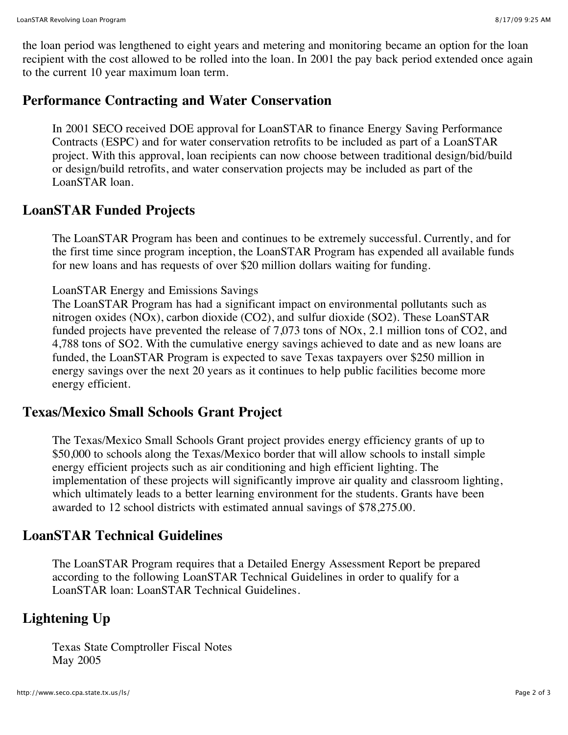the loan period was lengthened to eight years and metering and monitoring became an option for the loan recipient with the cost allowed to be rolled into the loan. In 2001 the pay back period extended once again to the current 10 year maximum loan term.

#### **Performance Contracting and Water Conservation**

In 2001 SECO received DOE approval for LoanSTAR to finance Energy Saving Performance Contracts ([ESPC](http://www1.eere.energy.gov/femp/financing/espcs.html)) and for water conservation retrofits to be included as part of a LoanSTAR project. With this approval, loan recipients can now choose between traditional design/bid/build or design/build retrofits, and water conservation projects may be included as part of the LoanSTAR loan.

#### **LoanSTAR Funded Projects**

The LoanSTAR Program has been and continues to be extremely successful. Currently, and for the first time since program inception, the LoanSTAR Program has expended all available funds for new loans and has requests of over \$20 million dollars waiting for funding.

LoanSTAR Energy and Emissions Savings

The LoanSTAR Program has had a significant impact on environmental pollutants such as nitrogen oxides (NOx), carbon dioxide (CO2), and sulfur dioxide (SO2). These LoanSTAR funded projects have prevented the release of 7,073 tons of NOx, 2.1 million tons of CO2, and 4,788 tons of SO2. With the cumulative energy savings achieved to date and as new loans are funded, the LoanSTAR Program is expected to save Texas taxpayers over \$250 million in energy savings over the next 20 years as it continues to help public facilities become more energy efficient.

### **Texas/Mexico Small Schools Grant Project**

The Texas/Mexico Small Schools Grant project provides energy efficiency grants of up to \$50,000 to schools along the Texas/Mexico border that will allow schools to install simple energy efficient projects such as air conditioning and high efficient lighting. The implementation of these projects will significantly improve air quality and classroom lighting, which ultimately leads to a better learning environment for the students. Grants have been awarded to 12 school districts with estimated annual savings of \$78,275.00.

### **LoanSTAR Technical Guidelines**

The LoanSTAR Program requires that a Detailed Energy Assessment Report be prepared according to the following LoanSTAR Technical Guidelines in order to qualify for a LoanSTAR loan: [LoanSTAR Technical Guidelines](http://www.seco.cpa.state.tx.us/ls/ls_guideline.htm).

## **[Lightening Up](http://www.window.state.tx.us/comptrol/fnotes/fn0505/lightening.html)**

Texas State Comptroller Fiscal Notes May 2005